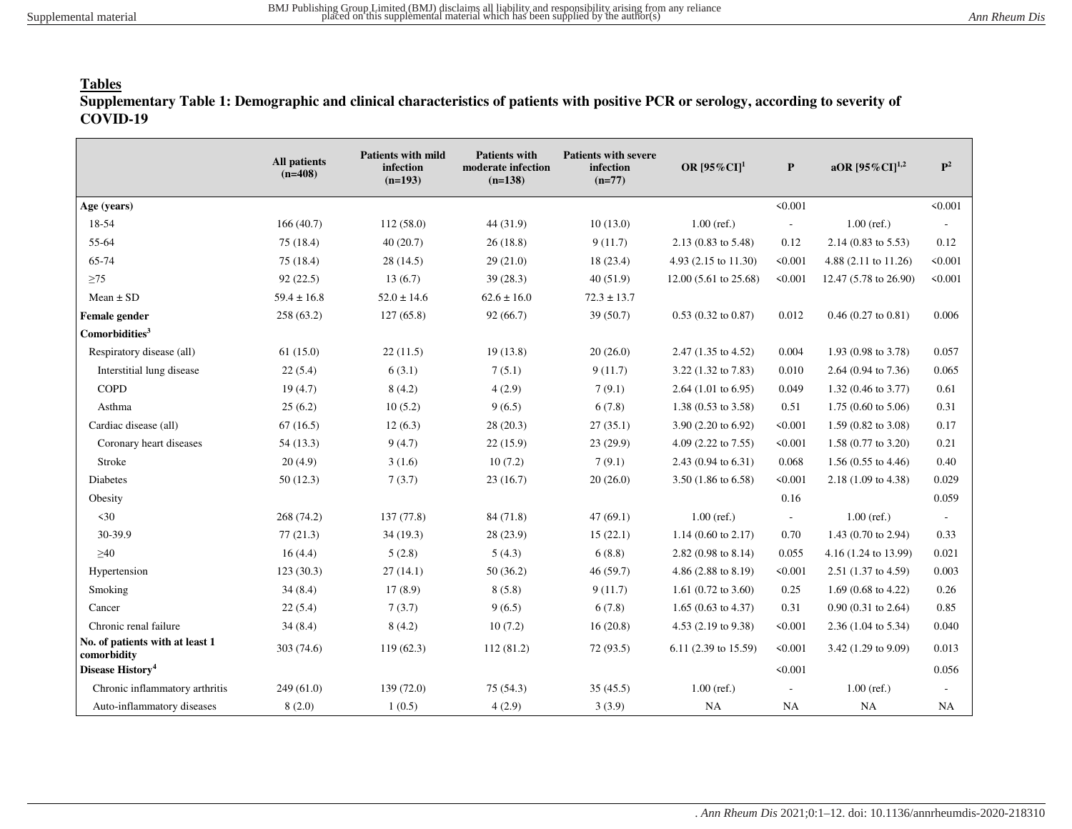### **Tables**

**Supplementary Table 1: Demographic and clinical characteristics of patients with positive PCR or serology, according to severity of COVID-19**

|                                                | <b>All patients</b><br>$(n=408)$ | <b>Patients with mild</b><br>infection<br>$(n=193)$ | <b>Patients with</b><br>moderate infection<br>$(n=138)$ | <b>Patients with severe</b><br>infection<br>$(n=77)$ | OR $[95\%$ CI <sup>1</sup>     | P                        | aOR $[95\%$ CI] <sup>1,2</sup>  | ${\bf P}^2$              |
|------------------------------------------------|----------------------------------|-----------------------------------------------------|---------------------------------------------------------|------------------------------------------------------|--------------------------------|--------------------------|---------------------------------|--------------------------|
| Age (years)                                    |                                  |                                                     |                                                         |                                                      |                                | < 0.001                  |                                 | < 0.001                  |
| 18-54                                          | 166(40.7)                        | 112(58.0)                                           | 44 (31.9)                                               | 10(13.0)                                             | $1.00$ (ref.)                  | $\overline{\phantom{a}}$ | $1.00$ (ref.)                   | $\overline{\phantom{a}}$ |
| 55-64                                          | 75(18.4)                         | 40(20.7)                                            | 26(18.8)                                                | 9(11.7)                                              | 2.13 (0.83 to 5.48)            | 0.12                     | $2.14(0.83 \text{ to } 5.53)$   | 0.12                     |
| 65-74                                          | 75(18.4)                         | 28(14.5)                                            | 29(21.0)                                                | 18 (23.4)                                            | 4.93 (2.15 to 11.30)           | < 0.001                  | 4.88 $(2.11 \text{ to } 11.26)$ | < 0.001                  |
| $\geq$ 75                                      | 92(22.5)                         | 13(6.7)                                             | 39(28.3)                                                | 40(51.9)                                             | 12.00 (5.61 to 25.68)          | < 0.001                  | 12.47 (5.78 to 26.90)           | < 0.001                  |
| $Mean \pm SD$                                  | $59.4 \pm 16.8$                  | $52.0 \pm 14.6$                                     | $62.6 \pm 16.0$                                         | $72.3 \pm 13.7$                                      |                                |                          |                                 |                          |
| Female gender                                  | 258(63.2)                        | 127(65.8)                                           | 92(66.7)                                                | 39(50.7)                                             | $0.53$ (0.32 to 0.87)          | 0.012                    | $0.46$ (0.27 to 0.81)           | 0.006                    |
| Comorbidities <sup>3</sup>                     |                                  |                                                     |                                                         |                                                      |                                |                          |                                 |                          |
| Respiratory disease (all)                      | 61(15.0)                         | 22(11.5)                                            | 19(13.8)                                                | 20(26.0)                                             | 2.47 (1.35 to 4.52)            | 0.004                    | 1.93 (0.98 to 3.78)             | 0.057                    |
| Interstitial lung disease                      | 22(5.4)                          | 6(3.1)                                              | 7(5.1)                                                  | 9(11.7)                                              | 3.22 (1.32 to 7.83)            | 0.010                    | 2.64 (0.94 to 7.36)             | 0.065                    |
| <b>COPD</b>                                    | 19(4.7)                          | 8(4.2)                                              | 4(2.9)                                                  | 7(9.1)                                               | 2.64 $(1.01 \text{ to } 6.95)$ | 0.049                    | $1.32(0.46 \text{ to } 3.77)$   | 0.61                     |
| Asthma                                         | 25(6.2)                          | 10(5.2)                                             | 9(6.5)                                                  | 6(7.8)                                               | 1.38 (0.53 to 3.58)            | 0.51                     | $1.75(0.60 \text{ to } 5.06)$   | 0.31                     |
| Cardiac disease (all)                          | 67(16.5)                         | 12(6.3)                                             | 28(20.3)                                                | 27(35.1)                                             | 3.90 (2.20 to 6.92)            | < 0.001                  | $1.59(0.82 \text{ to } 3.08)$   | 0.17                     |
| Coronary heart diseases                        | 54(13.3)                         | 9(4.7)                                              | 22(15.9)                                                | 23 (29.9)                                            | 4.09 (2.22 to 7.55)            | < 0.001                  | $1.58(0.77 \text{ to } 3.20)$   | 0.21                     |
| Stroke                                         | 20(4.9)                          | 3(1.6)                                              | 10(7.2)                                                 | 7(9.1)                                               | 2.43 (0.94 to 6.31)            | 0.068                    | $1.56(0.55 \text{ to } 4.46)$   | 0.40                     |
| Diabetes                                       | 50(12.3)                         | 7(3.7)                                              | 23(16.7)                                                | 20(26.0)                                             | 3.50 (1.86 to 6.58)            | < 0.001                  | 2.18 (1.09 to 4.38)             | 0.029                    |
| Obesity                                        |                                  |                                                     |                                                         |                                                      |                                | 0.16                     |                                 | 0.059                    |
| $\leq 30$                                      | 268 (74.2)                       | 137(77.8)                                           | 84 (71.8)                                               | 47(69.1)                                             | $1.00$ (ref.)                  | $\overline{\phantom{a}}$ | $1.00$ (ref.)                   | $\overline{\phantom{a}}$ |
| 30-39.9                                        | 77(21.3)                         | 34(19.3)                                            | 28 (23.9)                                               | 15(22.1)                                             | $1.14$ (0.60 to 2.17)          | 0.70                     | 1.43 (0.70 to 2.94)             | 0.33                     |
| $\geq 40$                                      | 16(4.4)                          | 5(2.8)                                              | 5(4.3)                                                  | 6(8.8)                                               | $2.82(0.98 \text{ to } 8.14)$  | 0.055                    | 4.16 (1.24 to 13.99)            | 0.021                    |
| Hypertension                                   | 123(30.3)                        | 27(14.1)                                            | 50(36.2)                                                | 46(59.7)                                             | 4.86 (2.88 to 8.19)            | < 0.001                  | 2.51 (1.37 to 4.59)             | 0.003                    |
| Smoking                                        | 34(8.4)                          | 17(8.9)                                             | 8(5.8)                                                  | 9(11.7)                                              | 1.61 $(0.72 \text{ to } 3.60)$ | 0.25                     | 1.69 (0.68 to 4.22)             | 0.26                     |
| Cancer                                         | 22(5.4)                          | 7(3.7)                                              | 9(6.5)                                                  | 6(7.8)                                               | $1.65(0.63 \text{ to } 4.37)$  | 0.31                     | $0.90(0.31 \text{ to } 2.64)$   | 0.85                     |
| Chronic renal failure                          | 34(8.4)                          | 8(4.2)                                              | 10(7.2)                                                 | 16(20.8)                                             | 4.53 (2.19 to 9.38)            | < 0.001                  | $2.36(1.04 \text{ to } 5.34)$   | 0.040                    |
| No. of patients with at least 1<br>comorbidity | 303 (74.6)                       | 119(62.3)                                           | 112(81.2)                                               | 72 (93.5)                                            | 6.11 (2.39 to 15.59)           | < 0.001                  | 3.42 (1.29 to 9.09)             | 0.013                    |
| Disease History <sup>4</sup>                   |                                  |                                                     |                                                         |                                                      |                                | < 0.001                  |                                 | 0.056                    |
| Chronic inflammatory arthritis                 | 249(61.0)                        | 139(72.0)                                           | 75(54.3)                                                | 35(45.5)                                             | $1.00$ (ref.)                  | $\overline{\phantom{a}}$ | $1.00$ (ref.)                   |                          |
| Auto-inflammatory diseases                     | 8(2.0)                           | 1(0.5)                                              | 4(2.9)                                                  | 3(3.9)                                               | NA                             | <b>NA</b>                | NA                              | NA                       |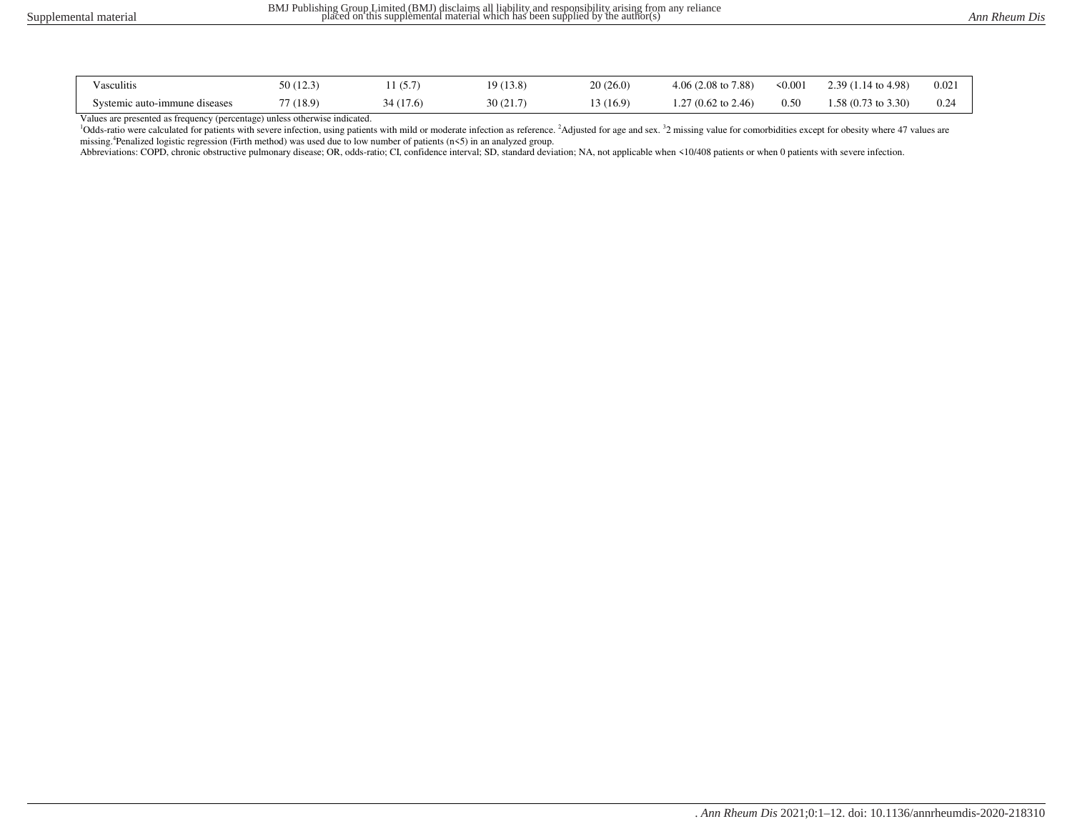| Vasculitis                    | 50(12.3)  | (5.7)    | 19(13.8) | 20(26.0)  | $4.06(2.08 \text{ to } 7.88)$  | $\leq 0.001$ | $2.39(1.14 \text{ to } 4.98)$ | 0.021 |
|-------------------------------|-----------|----------|----------|-----------|--------------------------------|--------------|-------------------------------|-------|
| Systemic auto-immune diseases | 77 (18.9) | 34(17.6) | 30(21.7) | 13 (16.9) | 1.27 $(0.62 \text{ to } 2.46)$ | 0.50         | $1.58(0.73 \text{ to } 3.30)$ | 0.24  |

Values are presented as frequency (percentage) unless otherwise indicated.

<sup>1</sup>Odds-ratio were calculated for patients with severe infection, using patients with mild or moderate infection as reference. <sup>2</sup>Adjusted for age and sex. <sup>3</sup>2 missing value for comorbidities except for obesity where 47 v missing.<sup>4</sup>Penalized logistic regression (Firth method) was used due to low number of patients (n<5) in an analyzed group.

Abbreviations: COPD, chronic obstructive pulmonary disease; OR, odds-ratio; CI, confidence interval; SD, standard deviation; NA, not applicable when <10/408 patients or when 0 patients with severe infection.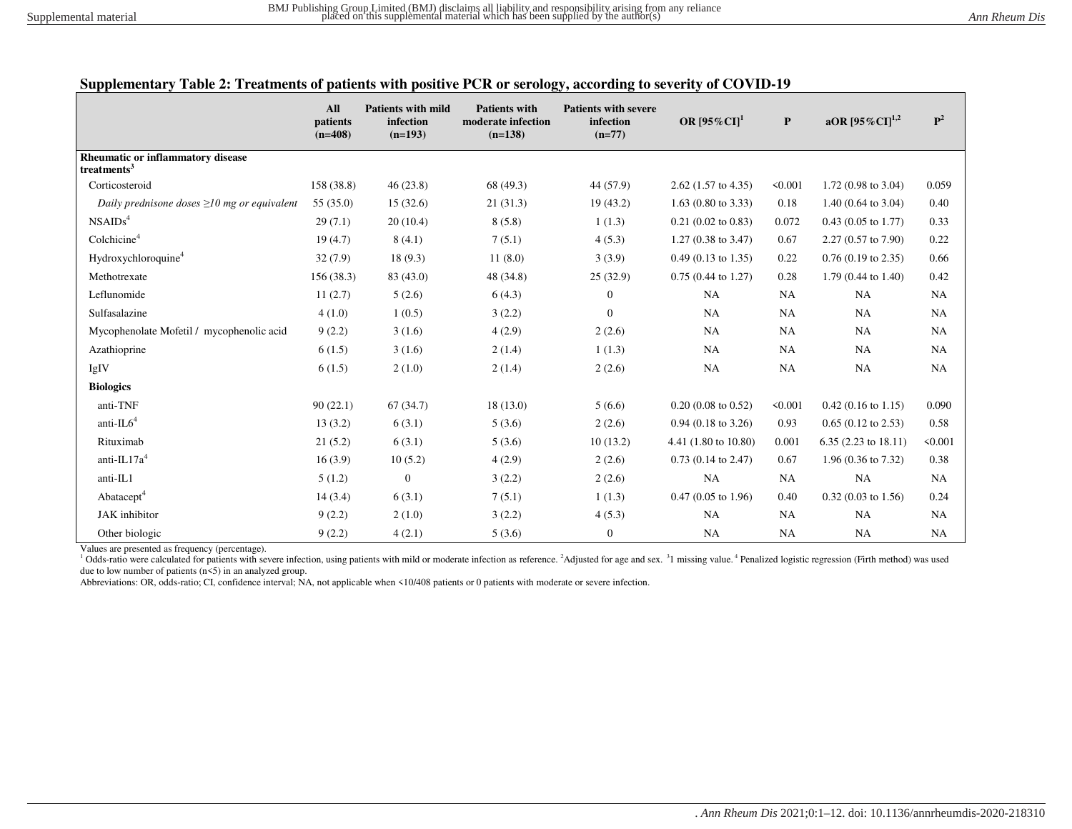|  |  |  | Supplementary Table 2: Treatments of patients with positive PCR or serology, according to severity of COVID-19 |
|--|--|--|----------------------------------------------------------------------------------------------------------------|
|  |  |  |                                                                                                                |

|                                                              | All<br>patients<br>$(n=408)$ | <b>Patients with mild</b><br>infection<br>$(n=193)$ | <b>Patients with</b><br>moderate infection<br>$(n=138)$ | <b>Patients with severe</b><br>infection<br>$(n=77)$ | OR $[95\%$ CI] <sup>1</sup>   | $\mathbf{P}$ | aOR $[95\%$ CI] <sup>1,2</sup> | ${\bf P}^2$ |
|--------------------------------------------------------------|------------------------------|-----------------------------------------------------|---------------------------------------------------------|------------------------------------------------------|-------------------------------|--------------|--------------------------------|-------------|
| Rheumatic or inflammatory disease<br>treatments <sup>3</sup> |                              |                                                     |                                                         |                                                      |                               |              |                                |             |
| Corticosteroid                                               | 158 (38.8)                   | 46(23.8)                                            | 68 (49.3)                                               | 44 (57.9)                                            | $2.62$ (1.57 to 4.35)         | < 0.001      | 1.72 $(0.98 \text{ to } 3.04)$ | 0.059       |
| Daily prednisone doses $\geq 10$ mg or equivalent            | 55(35.0)                     | 15(32.6)                                            | 21(31.3)                                                | 19(43.2)                                             | $1.63$ (0.80 to 3.33)         | 0.18         | 1.40 $(0.64 \text{ to } 3.04)$ | 0.40        |
| NSAIDS <sup>4</sup>                                          | 29(7.1)                      | 20(10.4)                                            | 8(5.8)                                                  | 1(1.3)                                               | $0.21$ (0.02 to 0.83)         | 0.072        | $0.43$ (0.05 to 1.77)          | 0.33        |
| Colchicine <sup>4</sup>                                      | 19(4.7)                      | 8(4.1)                                              | 7(5.1)                                                  | 4(5.3)                                               | $1.27(0.38 \text{ to } 3.47)$ | 0.67         | $2.27(0.57 \text{ to } 7.90)$  | 0.22        |
| Hydroxychloroquine <sup>4</sup>                              | 32(7.9)                      | 18(9.3)                                             | 11(8.0)                                                 | 3(3.9)                                               | $0.49$ (0.13 to 1.35)         | 0.22         | $0.76$ (0.19 to 2.35)          | 0.66        |
| Methotrexate                                                 | 156(38.3)                    | 83 (43.0)                                           | 48 (34.8)                                               | 25(32.9)                                             | $0.75(0.44 \text{ to } 1.27)$ | 0.28         | $1.79(0.44 \text{ to } 1.40)$  | 0.42        |
| Leflunomide                                                  | 11(2.7)                      | 5(2.6)                                              | 6(4.3)                                                  | $\overline{0}$                                       | NA                            | NA           | <b>NA</b>                      | NA          |
| Sulfasalazine                                                | 4(1.0)                       | 1(0.5)                                              | 3(2.2)                                                  | $\Omega$                                             | NA                            | NA           | <b>NA</b>                      | <b>NA</b>   |
| Mycophenolate Mofetil / mycophenolic acid                    | 9(2.2)                       | 3(1.6)                                              | 4(2.9)                                                  | 2(2.6)                                               | <b>NA</b>                     | <b>NA</b>    | <b>NA</b>                      | NA          |
| Azathioprine                                                 | 6(1.5)                       | 3(1.6)                                              | 2(1.4)                                                  | 1(1.3)                                               | <b>NA</b>                     | NA           | <b>NA</b>                      | NA          |
| IgIV                                                         | 6(1.5)                       | 2(1.0)                                              | 2(1.4)                                                  | 2(2.6)                                               | NA                            | NA           | <b>NA</b>                      | NA          |
| <b>Biologics</b>                                             |                              |                                                     |                                                         |                                                      |                               |              |                                |             |
| anti-TNF                                                     | 90(22.1)                     | 67(34.7)                                            | 18(13.0)                                                | 5(6.6)                                               | $0.20(0.08 \text{ to } 0.52)$ | < 0.001      | $0.42$ (0.16 to 1.15)          | 0.090       |
| anti- $IL64$                                                 | 13(3.2)                      | 6(3.1)                                              | 5(3.6)                                                  | 2(2.6)                                               | $0.94$ (0.18 to 3.26)         | 0.93         | $0.65$ (0.12 to 2.53)          | 0.58        |
| Rituximab                                                    | 21(5.2)                      | 6(3.1)                                              | 5(3.6)                                                  | 10(13.2)                                             | 4.41 (1.80 to 10.80)          | 0.001        | $6.35(2.23 \text{ to } 18.11)$ | < 0.001     |
| anti- $IL17a4$                                               | 16(3.9)                      | 10(5.2)                                             | 4(2.9)                                                  | 2(2.6)                                               | $0.73$ (0.14 to 2.47)         | 0.67         | 1.96 (0.36 to 7.32)            | 0.38        |
| anti-IL1                                                     | 5(1.2)                       | $\overline{0}$                                      | 3(2.2)                                                  | 2(2.6)                                               | NA                            | NA           | <b>NA</b>                      | <b>NA</b>   |
| Abatacept <sup>4</sup>                                       | 14(3.4)                      | 6(3.1)                                              | 7(5.1)                                                  | 1(1.3)                                               | $0.47(0.05 \text{ to } 1.96)$ | 0.40         | $0.32$ (0.03 to 1.56)          | 0.24        |
| JAK inhibitor                                                | 9(2.2)                       | 2(1.0)                                              | 3(2.2)                                                  | 4(5.3)                                               | NA                            | NA           | <b>NA</b>                      | NA          |
| Other biologic                                               | 9(2.2)                       | 4(2.1)                                              | 5(3.6)                                                  | $\boldsymbol{0}$                                     | NA                            | <b>NA</b>    | <b>NA</b>                      | NA          |

Values are presented as frequency (percentage).

<sup>1</sup> Odds-ratio were calculated for patients with severe infection, using patients with mild or moderate infection as reference. <sup>2</sup>Adjusted for age and sex. <sup>3</sup>1 missing value. <sup>4</sup> Penalized logistic regression (Firth meth due to low number of patients (n<5) in an analyzed group.

Abbreviations: OR, odds-ratio; CI, confidence interval; NA, not applicable when <10/408 patients or 0 patients with moderate or severe infection.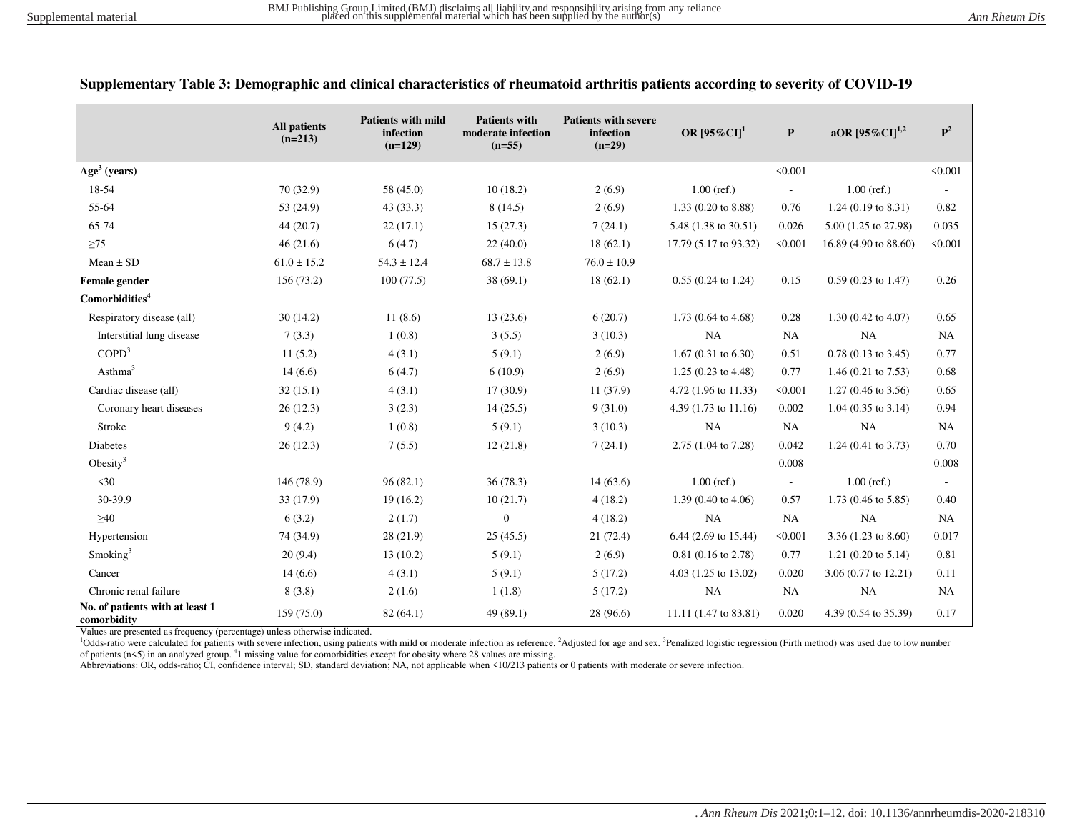|                                                | <b>All patients</b><br>$(n=213)$ | <b>Patients with mild</b><br>infection<br>$(n=129)$ | <b>Patients with</b><br>moderate infection<br>$(n=55)$ | <b>Patients with severe</b><br>infection<br>$(n=29)$ | OR $[95\%$ CI] <sup>1</sup>     | P                        | aOR $[95\%$ CI] <sup>1,2</sup> | $\mathbf{P}^2$ |
|------------------------------------------------|----------------------------------|-----------------------------------------------------|--------------------------------------------------------|------------------------------------------------------|---------------------------------|--------------------------|--------------------------------|----------------|
| Age <sup>3</sup> (years)                       |                                  |                                                     |                                                        |                                                      |                                 | < 0.001                  |                                | < 0.001        |
| 18-54                                          | 70 (32.9)                        | 58 (45.0)                                           | 10(18.2)                                               | 2(6.9)                                               | $1.00$ (ref.)                   | $\overline{\phantom{a}}$ | $1.00$ (ref.)                  |                |
| 55-64                                          | 53 (24.9)                        | 43(33.3)                                            | 8(14.5)                                                | 2(6.9)                                               | 1.33 (0.20 to 8.88)             | 0.76                     | 1.24 $(0.19 \text{ to } 8.31)$ | 0.82           |
| 65-74                                          | 44(20.7)                         | 22(17.1)                                            | 15(27.3)                                               | 7(24.1)                                              | 5.48 (1.38 to 30.51)            | 0.026                    | 5.00 (1.25 to 27.98)           | 0.035          |
| $\geq 75$                                      | 46(21.6)                         | 6(4.7)                                              | 22(40.0)                                               | 18(62.1)                                             | 17.79 (5.17 to 93.32)           | < 0.001                  | 16.89 (4.90 to 88.60)          | < 0.001        |
| Mean $\pm$ SD                                  | $61.0 \pm 15.2$                  | $54.3 \pm 12.4$                                     | $68.7 \pm 13.8$                                        | $76.0 \pm 10.9$                                      |                                 |                          |                                |                |
| Female gender                                  | 156(73.2)                        | 100(77.5)                                           | 38 (69.1)                                              | 18(62.1)                                             | $0.55(0.24 \text{ to } 1.24)$   | 0.15                     | $0.59(0.23 \text{ to } 1.47)$  | 0.26           |
| Comorbidities <sup>4</sup>                     |                                  |                                                     |                                                        |                                                      |                                 |                          |                                |                |
| Respiratory disease (all)                      | 30(14.2)                         | 11(8.6)                                             | 13(23.6)                                               | 6(20.7)                                              | 1.73 $(0.64 \text{ to } 4.68)$  | 0.28                     | 1.30 (0.42 to 4.07)            | 0.65           |
| Interstitial lung disease                      | 7(3.3)                           | 1(0.8)                                              | 3(5.5)                                                 | 3(10.3)                                              | NA                              | <b>NA</b>                | <b>NA</b>                      | <b>NA</b>      |
| COPD <sup>3</sup>                              | 11(5.2)                          | 4(3.1)                                              | 5(9.1)                                                 | 2(6.9)                                               | 1.67 (0.31 to 6.30)             | 0.51                     | $0.78$ (0.13 to 3.45)          | 0.77           |
| Asthma <sup>3</sup>                            | 14(6.6)                          | 6(4.7)                                              | 6(10.9)                                                | 2(6.9)                                               | $1.25(0.23 \text{ to } 4.48)$   | 0.77                     | 1.46 $(0.21$ to 7.53)          | 0.68           |
| Cardiac disease (all)                          | 32(15.1)                         | 4(3.1)                                              | 17(30.9)                                               | 11(37.9)                                             | 4.72 (1.96 to 11.33)            | < 0.001                  | $1.27(0.46 \text{ to } 3.56)$  | 0.65           |
| Coronary heart diseases                        | 26(12.3)                         | 3(2.3)                                              | 14(25.5)                                               | 9(31.0)                                              | 4.39 $(1.73 \text{ to } 11.16)$ | 0.002                    | $1.04$ (0.35 to 3.14)          | 0.94           |
| Stroke                                         | 9(4.2)                           | 1(0.8)                                              | 5(9.1)                                                 | 3(10.3)                                              | NA                              | <b>NA</b>                | NA                             | NA             |
| Diabetes                                       | 26(12.3)                         | 7(5.5)                                              | 12(21.8)                                               | 7(24.1)                                              | 2.75 (1.04 to 7.28)             | 0.042                    | 1.24 (0.41 to 3.73)            | 0.70           |
| Obesity <sup>3</sup>                           |                                  |                                                     |                                                        |                                                      |                                 | 0.008                    |                                | 0.008          |
| $\leq 30$                                      | 146 (78.9)                       | 96(82.1)                                            | 36(78.3)                                               | 14(63.6)                                             | $1.00$ (ref.)                   | $\blacksquare$           | $1.00$ (ref.)                  |                |
| 30-39.9                                        | 33 (17.9)                        | 19(16.2)                                            | 10(21.7)                                               | 4(18.2)                                              | 1.39 (0.40 to 4.06)             | 0.57                     | 1.73 (0.46 to 5.85)            | 0.40           |
| $\geq 40$                                      | 6(3.2)                           | 2(1.7)                                              | $\boldsymbol{0}$                                       | 4(18.2)                                              | <b>NA</b>                       | <b>NA</b>                | <b>NA</b>                      | <b>NA</b>      |
| Hypertension                                   | 74 (34.9)                        | 28 (21.9)                                           | 25(45.5)                                               | 21(72.4)                                             | 6.44 (2.69 to 15.44)            | < 0.001                  | 3.36 $(1.23 \text{ to } 8.60)$ | 0.017          |
| Smoking <sup>3</sup>                           | 20(9.4)                          | 13(10.2)                                            | 5(9.1)                                                 | 2(6.9)                                               | $0.81(0.16 \text{ to } 2.78)$   | 0.77                     | 1.21 (0.20 to $5.14$ )         | 0.81           |
| Cancer                                         | 14(6.6)                          | 4(3.1)                                              | 5(9.1)                                                 | 5(17.2)                                              | 4.03 (1.25 to 13.02)            | 0.020                    | 3.06 (0.77 to 12.21)           | 0.11           |
| Chronic renal failure                          | 8(3.8)                           | 2(1.6)                                              | 1(1.8)                                                 | 5(17.2)                                              | NA                              | <b>NA</b>                | <b>NA</b>                      | <b>NA</b>      |
| No. of patients with at least 1<br>comorbidity | 159 (75.0)                       | 82(64.1)                                            | 49 (89.1)                                              | 28 (96.6)                                            | 11.11 (1.47 to 83.81)           | 0.020                    | 4.39 (0.54 to 35.39)           | 0.17           |

| Supplementary Table 3: Demographic and clinical characteristics of rheumatoid arthritis patients according to severity of COVID-19 |  |  |  |  |
|------------------------------------------------------------------------------------------------------------------------------------|--|--|--|--|
|------------------------------------------------------------------------------------------------------------------------------------|--|--|--|--|

Values are presented as frequency (percentage) unless otherwise indicated.

<sup>1</sup>Odds-ratio were calculated for patients with severe infection, using patients with mild or moderate infection as reference. <sup>2</sup>Adjusted for age and sex. <sup>3</sup>Penalized logistic regression (Firth method) was used due to lo of patients  $(n \le 5)$  in an analyzed group. <sup>4</sup>1 missing value for comorbidities except for obesity where 28 values are missing.

Abbreviations: OR, odds-ratio; CI, confidence interval; SD, standard deviation; NA, not applicable when <10/213 patients or 0 patients with moderate or severe infection.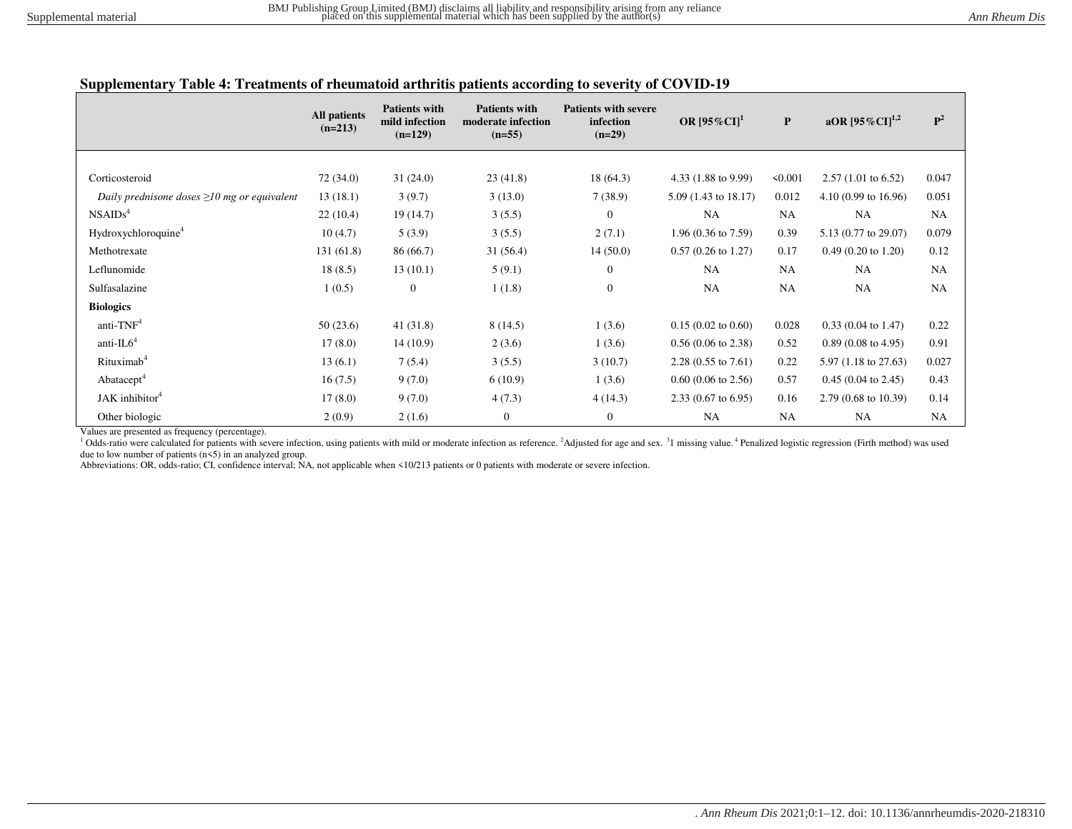### **Supplementary Table 4: Treatments of rheumatoid arthritis patients according to severity of COVID-19**

|                                                   | All patients<br>$(n=213)$ | <b>Patients with</b><br>mild infection<br>$(n=129)$ | <b>Patients with</b><br>moderate infection<br>$(n=55)$ | <b>Patients with severe</b><br>infection<br>$(n=29)$ | OR $[95\%$ CI] <sup>1</sup>    | $\mathbf{P}$ | aOR $[95\%CI]^{1,2}$           | $\mathbf{P}^2$ |
|---------------------------------------------------|---------------------------|-----------------------------------------------------|--------------------------------------------------------|------------------------------------------------------|--------------------------------|--------------|--------------------------------|----------------|
|                                                   |                           |                                                     |                                                        |                                                      |                                |              |                                |                |
| Corticosteroid                                    | 72 (34.0)                 | 31(24.0)                                            | 23(41.8)                                               | 18(64.3)                                             | 4.33 (1.88 to 9.99)            | 50.001       | $2.57(1.01 \text{ to } 6.52)$  | 0.047          |
| Daily prednisone doses $\geq 10$ mg or equivalent | 13(18.1)                  | 3(9.7)                                              | 3(13.0)                                                | 7(38.9)                                              | $5.09(1.43 \text{ to } 18.17)$ | 0.012        | $4.10(0.99)$ to $16.96$        | 0.051          |
| NSAIDS <sup>4</sup>                               | 22(10.4)                  | 19(14.7)                                            | 3(5.5)                                                 | $\theta$                                             | NA                             | <b>NA</b>    | <b>NA</b>                      | <b>NA</b>      |
| Hydroxychloroquine <sup>4</sup>                   | 10(4.7)                   | 5(3.9)                                              | 3(5.5)                                                 | 2(7.1)                                               | $1.96(0.36 \text{ to } 7.59)$  | 0.39         | 5.13 (0.77 to 29.07)           | 0.079          |
| Methotrexate                                      | 131(61.8)                 | 86 (66.7)                                           | 31(56.4)                                               | 14(50.0)                                             | $0.57(0.26 \text{ to } 1.27)$  | 0.17         | $0.49(0.20 \text{ to } 1.20)$  | 0.12           |
| Leflunomide                                       | 18(8.5)                   | 13(10.1)                                            | 5(9.1)                                                 | $\mathbf{0}$                                         | NA                             | <b>NA</b>    | <b>NA</b>                      | <b>NA</b>      |
| Sulfasalazine                                     | 1(0.5)                    | $\mathbf{0}$                                        | 1(1.8)                                                 | $\boldsymbol{0}$                                     | NA                             | <b>NA</b>    | <b>NA</b>                      | <b>NA</b>      |
| <b>Biologics</b>                                  |                           |                                                     |                                                        |                                                      |                                |              |                                |                |
| anti-TNF <sup>4</sup>                             | 50(23.6)                  | 41(31.8)                                            | 8(14.5)                                                | 1(3.6)                                               | $0.15(0.02 \text{ to } 0.60)$  | 0.028        | $0.33(0.04 \text{ to } 1.47)$  | 0.22           |
| anti- $IL64$                                      | 17(8.0)                   | 14(10.9)                                            | 2(3.6)                                                 | 1(3.6)                                               | $0.56(0.06 \text{ to } 2.38)$  | 0.52         | $0.89(0.08 \text{ to } 4.95)$  | 0.91           |
| Rituximab <sup>4</sup>                            | 13(6.1)                   | 7(5.4)                                              | 3(5.5)                                                 | 3(10.7)                                              | $2.28(0.55 \text{ to } 7.61)$  | 0.22         | $5.97(1.18 \text{ to } 27.63)$ | 0.027          |
| Abatacept <sup>4</sup>                            | 16(7.5)                   | 9(7.0)                                              | 6(10.9)                                                | 1(3.6)                                               | $0.60$ (0.06 to 2.56)          | 0.57         | $0.45(0.04 \text{ to } 2.45)$  | 0.43           |
| JAK inhibitor <sup>4</sup>                        | 17(8.0)                   | 9(7.0)                                              | 4(7.3)                                                 | 4(14.3)                                              | $2.33(0.67 \text{ to } 6.95)$  | 0.16         | $2.79(0.68 \text{ to } 10.39)$ | 0.14           |
| Other biologic                                    | 2(0.9)                    | 2(1.6)                                              | $\mathbf{0}$                                           | $\boldsymbol{0}$                                     | NA                             | <b>NA</b>    | <b>NA</b>                      | <b>NA</b>      |

Values are presented as frequency (percentage).

<sup>1</sup> Odds-ratio were calculated for patients with severe infection, using patients with mild or moderate infection as reference. <sup>2</sup>Adjusted for age and sex. <sup>3</sup>1 missing value. <sup>4</sup> Penalized logistic regression (Firth meth due to low number of patients  $(n\leq 5)$  in an analyzed group.

Abbreviations: OR, odds-ratio; CI, confidence interval; NA, not applicable when <10/213 patients or 0 patients with moderate or severe infection.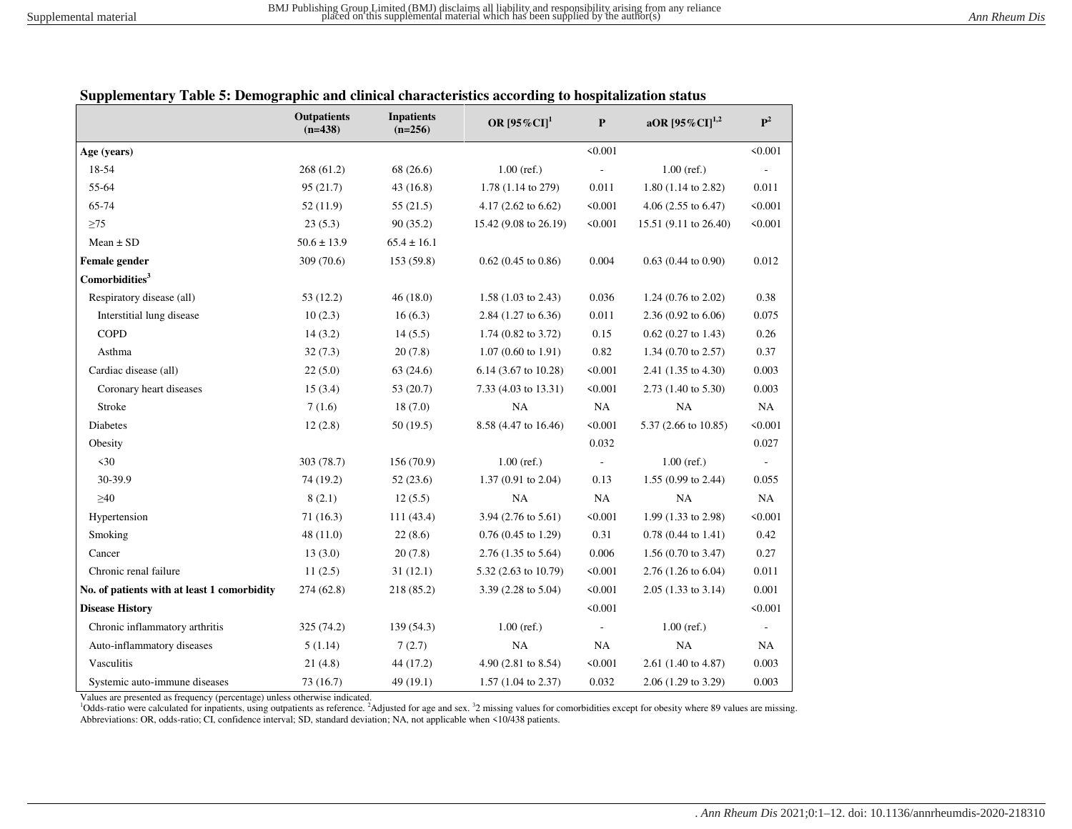|                                             | <b>Outpatients</b><br>$(n=438)$ | <b>Inpatients</b><br>$(n=256)$ | OR $[95\%CI]$ <sup>1</sup>     | $\mathbf{P}$             | aOR $[95\%$ CI] <sup>1,2</sup> | $\mathbf{P}^2$           |
|---------------------------------------------|---------------------------------|--------------------------------|--------------------------------|--------------------------|--------------------------------|--------------------------|
| Age (years)                                 |                                 |                                |                                | < 0.001                  |                                | < 0.001                  |
| 18-54                                       | 268(61.2)                       | 68 (26.6)                      | $1.00$ (ref.)                  |                          | $1.00$ (ref.)                  |                          |
| 55-64                                       | 95(21.7)                        | 43(16.8)                       | 1.78 (1.14 to 279)             | 0.011                    | 1.80 (1.14 to 2.82)            | 0.011                    |
| 65-74                                       | 52(11.9)                        | 55(21.5)                       | 4.17 $(2.62 \text{ to } 6.62)$ | < 0.001                  | 4.06 $(2.55 \text{ to } 6.47)$ | < 0.001                  |
| $\geq$ 75                                   | 23(5.3)                         | 90(35.2)                       | 15.42 (9.08 to 26.19)          | < 0.001                  | 15.51 (9.11 to 26.40)          | < 0.001                  |
| $Mean \pm SD$                               | $50.6 \pm 13.9$                 | $65.4 \pm 16.1$                |                                |                          |                                |                          |
| Female gender                               | 309 (70.6)                      | 153 (59.8)                     | $0.62$ (0.45 to 0.86)          | 0.004                    | $0.63$ (0.44 to 0.90)          | 0.012                    |
| Comorbidities <sup>3</sup>                  |                                 |                                |                                |                          |                                |                          |
| Respiratory disease (all)                   | 53(12.2)                        | 46(18.0)                       | $1.58(1.03 \text{ to } 2.43)$  | 0.036                    | 1.24 $(0.76 \text{ to } 2.02)$ | 0.38                     |
| Interstitial lung disease                   | 10(2.3)                         | 16(6.3)                        | 2.84 (1.27 to 6.36)            | 0.011                    | $2.36(0.92 \text{ to } 6.06)$  | 0.075                    |
| <b>COPD</b>                                 | 14(3.2)                         | 14(5.5)                        | $1.74$ (0.82 to 3.72)          | 0.15                     | $0.62$ (0.27 to 1.43)          | 0.26                     |
| Asthma                                      | 32(7.3)                         | 20(7.8)                        | $1.07(0.60 \text{ to } 1.91)$  | 0.82                     | 1.34 $(0.70 \text{ to } 2.57)$ | 0.37                     |
| Cardiac disease (all)                       | 22(5.0)                         | 63(24.6)                       | 6.14 (3.67 to 10.28)           | < 0.001                  | 2.41 (1.35 to 4.30)            | 0.003                    |
| Coronary heart diseases                     | 15(3.4)                         | 53(20.7)                       | 7.33 (4.03 to 13.31)           | < 0.001                  | 2.73 (1.40 to 5.30)            | 0.003                    |
| Stroke                                      | 7(1.6)                          | 18(7.0)                        | <b>NA</b>                      | NA                       | NA                             | NA                       |
| <b>Diabetes</b>                             | 12(2.8)                         | 50(19.5)                       | 8.58 (4.47 to 16.46)           | < 0.001                  | 5.37 (2.66 to 10.85)           | < 0.001                  |
| Obesity                                     |                                 |                                |                                | 0.032                    |                                | 0.027                    |
| $30$                                        | 303 (78.7)                      | 156 (70.9)                     | $1.00$ (ref.)                  | $\overline{\phantom{a}}$ | $1.00$ (ref.)                  | $\overline{\phantom{a}}$ |
| 30-39.9                                     | 74 (19.2)                       | 52(23.6)                       | $1.37(0.91)$ to $2.04$ )       | 0.13                     | 1.55 (0.99 to 2.44)            | 0.055                    |
| $\geq 40$                                   | 8(2.1)                          | 12(5.5)                        | NA                             | NA                       | <b>NA</b>                      | NA                       |
| Hypertension                                | 71(16.3)                        | 111(43.4)                      | 3.94 (2.76 to 5.61)            | < 0.001                  | 1.99 (1.33 to 2.98)            | < 0.001                  |
| Smoking                                     | 48(11.0)                        | 22(8.6)                        | $0.76(0.45 \text{ to } 1.29)$  | 0.31                     | $0.78$ (0.44 to 1.41)          | 0.42                     |
| Cancer                                      | 13(3.0)                         | 20(7.8)                        | 2.76 (1.35 to 5.64)            | 0.006                    | 1.56 $(0.70 \text{ to } 3.47)$ | 0.27                     |
| Chronic renal failure                       | 11(2.5)                         | 31(12.1)                       | 5.32 (2.63 to 10.79)           | < 0.001                  | 2.76 (1.26 to 6.04)            | 0.011                    |
| No. of patients with at least 1 comorbidity | 274 (62.8)                      | 218 (85.2)                     | 3.39 (2.28 to 5.04)            | < 0.001                  | $2.05(1.33 \text{ to } 3.14)$  | 0.001                    |
| <b>Disease History</b>                      |                                 |                                |                                | < 0.001                  |                                | < 0.001                  |
| Chronic inflammatory arthritis              | 325 (74.2)                      | 139(54.3)                      | $1.00$ (ref.)                  |                          | $1.00$ (ref.)                  |                          |
| Auto-inflammatory diseases                  | 5(1.14)                         | 7(2.7)                         | NA                             | NA                       | NA                             | $\rm NA$                 |
| Vasculitis                                  | 21(4.8)                         | 44 (17.2)                      | 4.90 (2.81 to 8.54)            | < 0.001                  | 2.61 (1.40 to 4.87)            | 0.003                    |
| Systemic auto-immune diseases               | 73(16.7)                        | 49 (19.1)                      | $1.57$ (1.04 to 2.37)          | 0.032                    | 2.06 (1.29 to 3.29)            | 0.003                    |

#### **Supplementary Table 5: Demographic and clinical characteristics according to hospitalization status**

Values are presented as frequency (percentage) unless otherwise indicated.

<sup>1</sup>Odds-ratio were calculated for inpatients, using outpatients as reference. <sup>2</sup>Adjusted for age and sex. <sup>32</sup> missing values for comorbidities except for obesity where 89 values are missing. Abbreviations: OR, odds-ratio; CI, confidence interval; SD, standard deviation; NA, not applicable when <10/438 patients.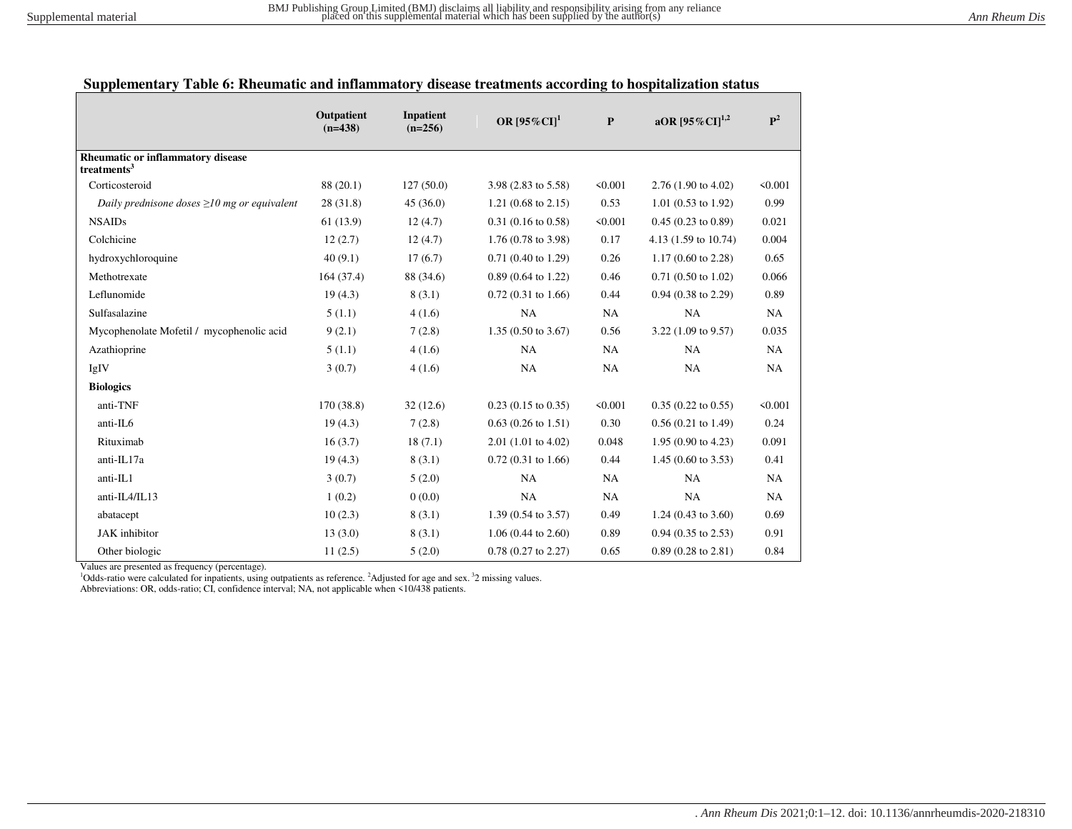# **Supplementary Table 6: Rheumatic and inflammatory disease treatments according to hospitalization status**

|                                                                     | Outpatient<br>$(n=438)$ | <b>Inpatient</b><br>$(n=256)$ | OR $[95\%$ CI] <sup>1</sup>   | ${\bf P}$ | aOR $[95\%$ CI] <sup>1,2</sup>  | $\mathbf{P}^2$ |
|---------------------------------------------------------------------|-------------------------|-------------------------------|-------------------------------|-----------|---------------------------------|----------------|
| <b>Rheumatic or inflammatory disease</b><br>treatments <sup>3</sup> |                         |                               |                               |           |                                 |                |
| Corticosteroid                                                      | 88 (20.1)               | 127(50.0)                     | 3.98 (2.83 to 5.58)           | < 0.001   | 2.76 (1.90 to 4.02)             | < 0.001        |
| Daily prednisone doses $\geq 10$ mg or equivalent                   | 28(31.8)                | 45(36.0)                      | $1.21(0.68 \text{ to } 2.15)$ | 0.53      | $1.01$ (0.53 to 1.92)           | 0.99           |
| <b>NSAIDs</b>                                                       | 61(13.9)                | 12(4.7)                       | $0.31(0.16 \text{ to } 0.58)$ | < 0.001   | $0.45(0.23 \text{ to } 0.89)$   | 0.021          |
| Colchicine                                                          | 12(2.7)                 | 12(4.7)                       | $1.76(0.78 \text{ to } 3.98)$ | 0.17      | 4.13 $(1.59 \text{ to } 10.74)$ | 0.004          |
| hydroxychloroquine                                                  | 40(9.1)                 | 17(6.7)                       | $0.71(0.40 \text{ to } 1.29)$ | 0.26      | 1.17 $(0.60 \text{ to } 2.28)$  | 0.65           |
| Methotrexate                                                        | 164(37.4)               | 88 (34.6)                     | $0.89$ (0.64 to 1.22)         | 0.46      | $0.71(0.50 \text{ to } 1.02)$   | 0.066          |
| Leflunomide                                                         | 19(4.3)                 | 8(3.1)                        | $0.72(0.31)$ to 1.66)         | 0.44      | $0.94$ $(0.38$ to $2.29)$       | 0.89           |
| Sulfasalazine                                                       | 5(1.1)                  | 4(1.6)                        | NA                            | NA        | NA                              | NA             |
| Mycophenolate Mofetil / mycophenolic acid                           | 9(2.1)                  | 7(2.8)                        | 1.35 (0.50 to 3.67)           | 0.56      | 3.22 (1.09 to 9.57)             | 0.035          |
| Azathioprine                                                        | 5(1.1)                  | 4(1.6)                        | NA                            | NA        | NA                              | NA             |
| IgIV                                                                | 3(0.7)                  | 4(1.6)                        | NA                            | NA        | NA                              | NA             |
| <b>Biologics</b>                                                    |                         |                               |                               |           |                                 |                |
| anti-TNF                                                            | 170 (38.8)              | 32(12.6)                      | $0.23$ (0.15 to 0.35)         | < 0.001   | $0.35(0.22 \text{ to } 0.55)$   | < 0.001        |
| anti-IL6                                                            | 19(4.3)                 | 7(2.8)                        | $0.63(0.26 \text{ to } 1.51)$ | 0.30      | $0.56(0.21 \text{ to } 1.49)$   | 0.24           |
| Rituximab                                                           | 16(3.7)                 | 18(7.1)                       | $2.01$ (1.01 to 4.02)         | 0.048     | 1.95 (0.90 to 4.23)             | 0.091          |
| anti-IL17a                                                          | 19(4.3)                 | 8(3.1)                        | $0.72(0.31 \text{ to } 1.66)$ | 0.44      | 1.45 (0.60 to 3.53)             | 0.41           |
| anti-IL1                                                            | 3(0.7)                  | 5(2.0)                        | NA                            | NA        | <b>NA</b>                       | NA             |
| anti-IL4/IL13                                                       | 1(0.2)                  | 0(0.0)                        | NA                            | NA        | NA                              | NA             |
| abatacept                                                           | 10(2.3)                 | 8(3.1)                        | 1.39 (0.54 to 3.57)           | 0.49      | 1.24 (0.43 to $3.60$ )          | 0.69           |
| <b>JAK</b> inhibitor                                                | 13(3.0)                 | 8(3.1)                        | $1.06(0.44 \text{ to } 2.60)$ | 0.89      | $0.94$ $(0.35$ to $2.53)$       | 0.91           |
| Other biologic                                                      | 11(2.5)                 | 5(2.0)                        | $0.78$ $(0.27$ to $2.27)$     | 0.65      | $0.89(0.28 \text{ to } 2.81)$   | 0.84           |

Values are presented as frequency (percentage).

<sup>1</sup>Odds-ratio were calculated for inpatients, using outpatients as reference. <sup>2</sup>Adjusted for age and sex.<sup>3</sup>2 missing values.

Abbreviations: OR, odds-ratio; CI, confidence interval; NA, not applicable when <10/438 patients.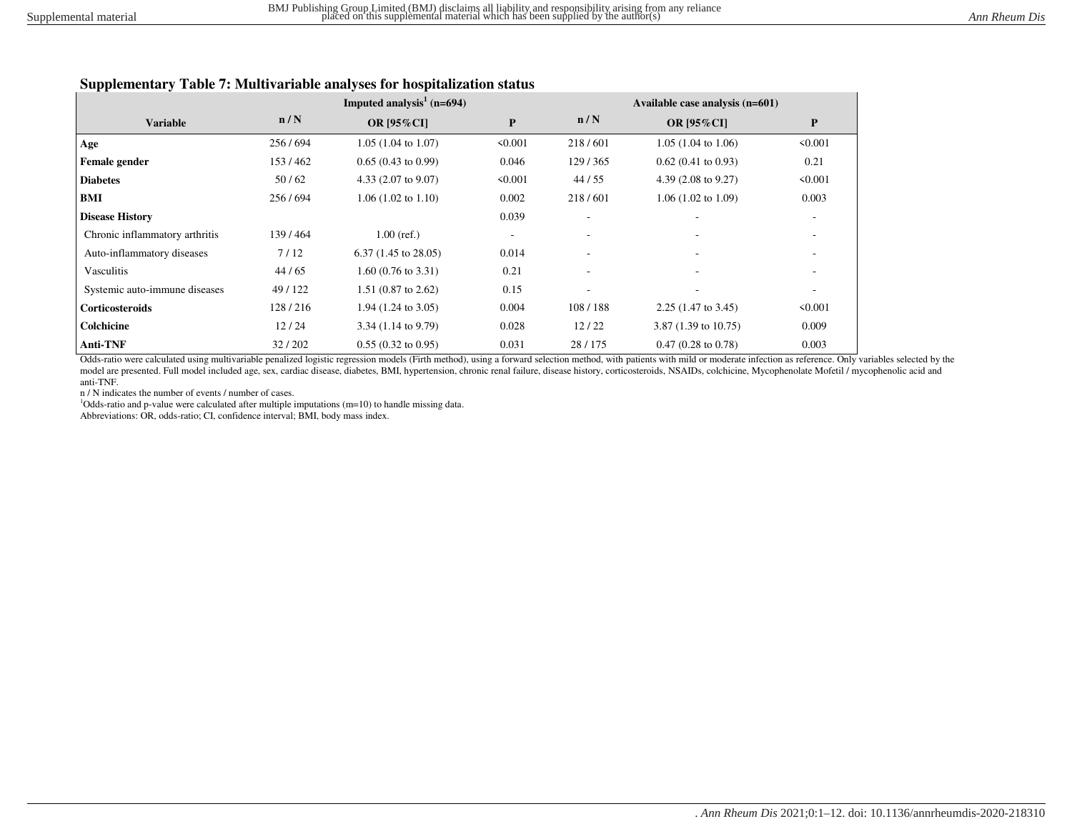### **Supplementary Table 7: Multivariable analyses for hospitalization status**

|                                |         | Imputed analysis <sup>1</sup> ( $n=694$ ) |           |                          | Available case analysis (n=601) |                          |
|--------------------------------|---------|-------------------------------------------|-----------|--------------------------|---------------------------------|--------------------------|
| <b>Variable</b>                | n/N     | <b>OR [95%CI]</b>                         | ${\bf P}$ | n/N                      | <b>OR [95%CI]</b>               | ${\bf P}$                |
| Age                            | 256/694 | $1.05(1.04 \text{ to } 1.07)$             | < 0.001   | 218/601                  | $1.05(1.04 \text{ to } 1.06)$   | < 0.001                  |
| Female gender                  | 153/462 | $0.65(0.43 \text{ to } 0.99)$             | 0.046     | 129/365                  | $0.62(0.41 \text{ to } 0.93)$   | 0.21                     |
| <b>Diabetes</b>                | 50/62   | 4.33 $(2.07 \text{ to } 9.07)$            | < 0.001   | 44/55                    | 4.39 $(2.08 \text{ to } 9.27)$  | < 0.001                  |
| BMI                            | 256/694 | $1.06(1.02 \text{ to } 1.10)$             | 0.002     | 218/601                  | $1.06(1.02 \text{ to } 1.09)$   | 0.003                    |
| <b>Disease History</b>         |         |                                           | 0.039     |                          |                                 | $\overline{\phantom{a}}$ |
| Chronic inflammatory arthritis | 139/464 | $1.00$ (ref.)                             |           | $\overline{\phantom{a}}$ |                                 | $\overline{\phantom{a}}$ |
| Auto-inflammatory diseases     | 7/12    | $6.37(1.45 \text{ to } 28.05)$            | 0.014     |                          |                                 |                          |
| Vasculitis                     | 44/65   | $1.60(0.76 \text{ to } 3.31)$             | 0.21      |                          |                                 |                          |
| Systemic auto-immune diseases  | 49/122  | $1.51$ (0.87 to 2.62)                     | 0.15      | $\overline{\phantom{a}}$ | $\overline{\phantom{a}}$        |                          |
| <b>Corticosteroids</b>         | 128/216 | $1.94$ (1.24 to 3.05)                     | 0.004     | 108/188                  | $2.25(1.47 \text{ to } 3.45)$   | < 0.001                  |
| Colchicine                     | 12/24   | $3.34(1.14 \text{ to } 9.79)$             | 0.028     | 12/22                    | 3.87 $(1.39 \text{ to } 10.75)$ | 0.009                    |
| <b>Anti-TNF</b>                | 32/202  | $0.55(0.32 \text{ to } 0.95)$             | 0.031     | 28/175                   | $0.47(0.28 \text{ to } 0.78)$   | 0.003                    |

Odds-ratio were calculated using multivariable penalized logistic regression models (Firth method), using a forward selection method, with patients with mild or moderate infection as reference. Only variables selected by the model are presented. Full model included age, sex, cardiac disease, diabetes, BMI, hypertension, chronic renal failure, disease history, corticosteroids, NSAIDs, colchicine, Mycophenolate Mofetil / mycophenolic acid and anti-TNF.

n / N indicates the number of events / number of cases.

<sup>1</sup>Odds-ratio and p-value were calculated after multiple imputations (m=10) to handle missing data.

Abbreviations: OR, odds-ratio; CI, confidence interval; BMI, body mass index.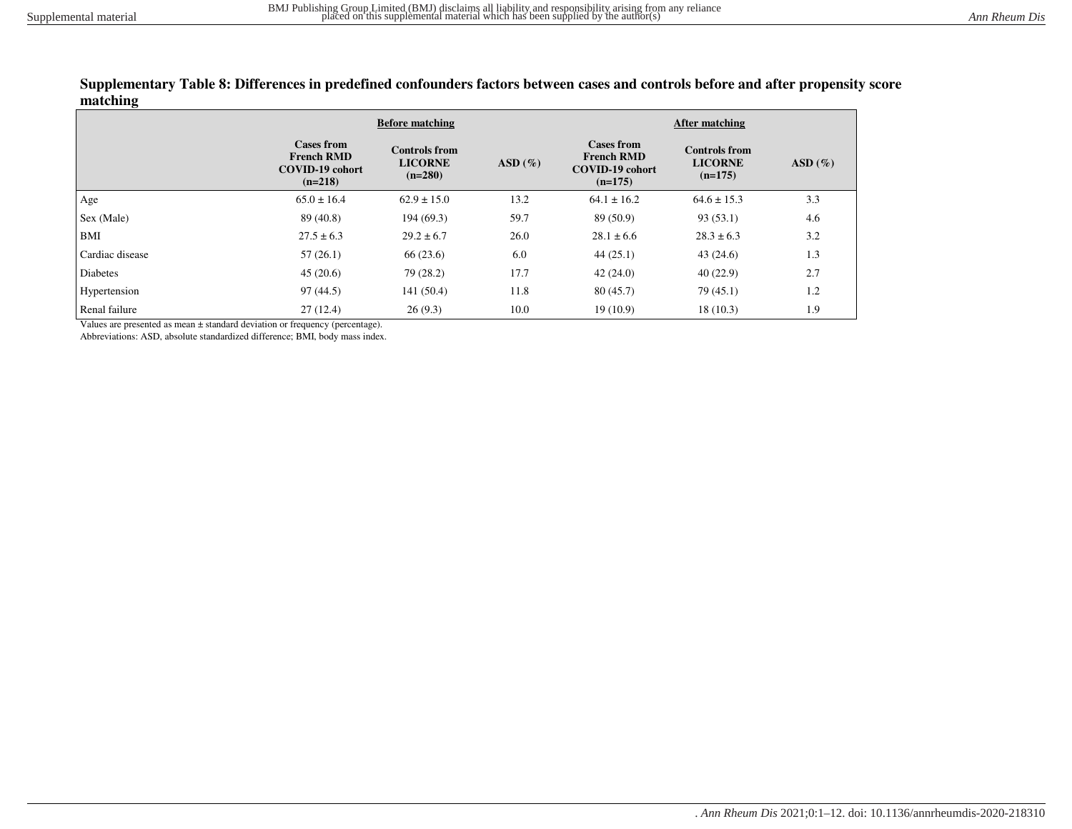#### **Supplementary Table 8: Differences in predefined confounders factors between cases and controls before and after propensity score matching**

|                 |                                                                               | <b>Before matching</b>                              |           | After matching                                                                |                                                     |           |  |  |
|-----------------|-------------------------------------------------------------------------------|-----------------------------------------------------|-----------|-------------------------------------------------------------------------------|-----------------------------------------------------|-----------|--|--|
|                 | <b>Cases from</b><br><b>French RMD</b><br><b>COVID-19 cohort</b><br>$(n=218)$ | <b>Controls from</b><br><b>LICORNE</b><br>$(n=280)$ | $ASD(\%)$ | <b>Cases from</b><br><b>French RMD</b><br><b>COVID-19 cohort</b><br>$(n=175)$ | <b>Controls from</b><br><b>LICORNE</b><br>$(n=175)$ | $ASD(\%)$ |  |  |
| Age             | $65.0 \pm 16.4$                                                               | $62.9 \pm 15.0$                                     | 13.2      | $64.1 \pm 16.2$                                                               | $64.6 \pm 15.3$                                     | 3.3       |  |  |
| Sex (Male)      | 89 (40.8)                                                                     | 194(69.3)                                           | 59.7      | 89 (50.9)                                                                     | 93(53.1)                                            | 4.6       |  |  |
| BMI             | $27.5 \pm 6.3$                                                                | $29.2 \pm 6.7$                                      | 26.0      | $28.1 \pm 6.6$                                                                | $28.3 \pm 6.3$                                      | 3.2       |  |  |
| Cardiac disease | 57(26.1)                                                                      | 66(23.6)                                            | 6.0       | 44(25.1)                                                                      | 43(24.6)                                            | 1.3       |  |  |
| <b>Diabetes</b> | 45(20.6)                                                                      | 79 (28.2)                                           | 17.7      | 42(24.0)                                                                      | 40(22.9)                                            | 2.7       |  |  |
| Hypertension    | 97(44.5)                                                                      | 141(50.4)                                           | 11.8      | 80(45.7)                                                                      | 79(45.1)                                            | 1.2       |  |  |
| Renal failure   | 27(12.4)                                                                      | 26(9.3)                                             | 10.0      | 19(10.9)                                                                      | 18(10.3)                                            | 1.9       |  |  |

Values are presented as mean ± standard deviation or frequency (percentage).

Abbreviations: ASD, absolute standardized difference; BMI, body mass index.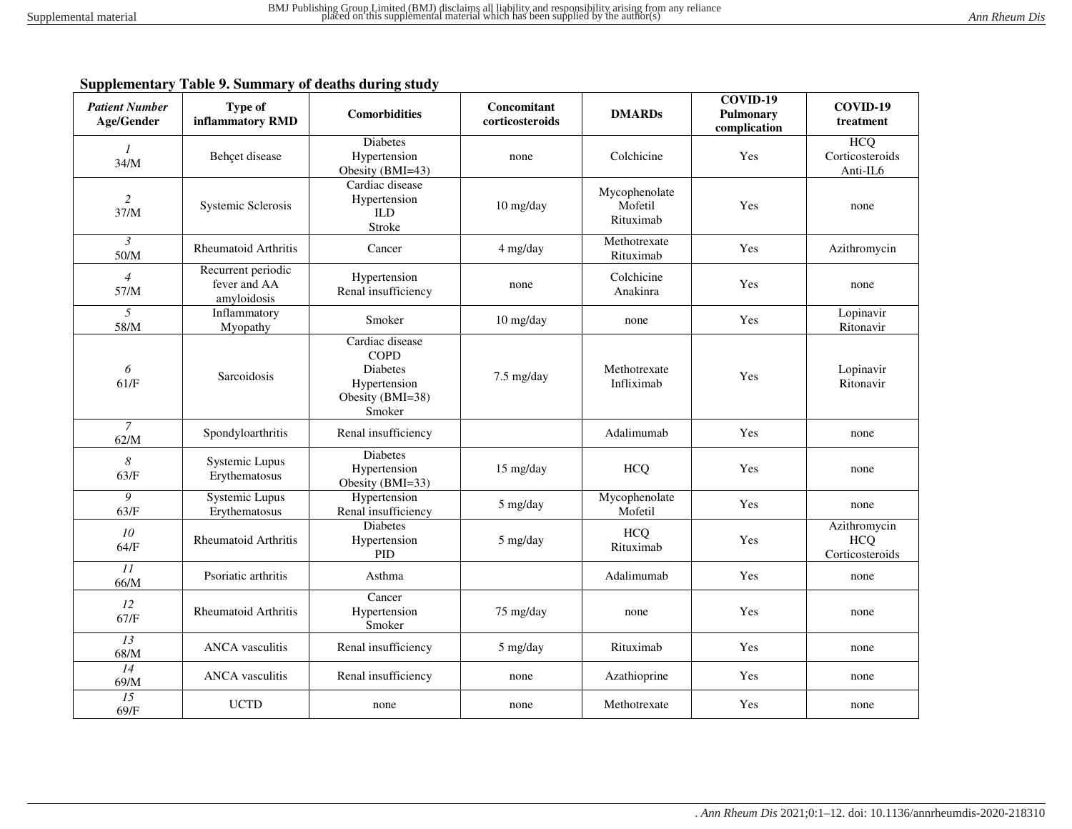## **Supplementary Table 9. Summary of deaths during study**

| <b>Patient Number</b><br>Age/Gender | <b>Type of</b><br>inflammatory RMD                | <b>Comorbidities</b>                                                                            | Concomitant<br>corticosteroids | <b>DMARDs</b>                         | COVID-19<br>Pulmonary<br>complication | COVID-19<br>treatment                         |
|-------------------------------------|---------------------------------------------------|-------------------------------------------------------------------------------------------------|--------------------------------|---------------------------------------|---------------------------------------|-----------------------------------------------|
| $\mathcal{I}$<br>34/M               | Behçet disease                                    | <b>Diabetes</b><br>Hypertension<br>Obesity (BMI=43)                                             | none                           | Colchicine                            | Yes                                   | <b>HCQ</b><br>Corticosteroids<br>Anti-IL6     |
| $\overline{c}$<br>37/M              | Systemic Sclerosis                                | Cardiac disease<br>Hypertension<br><b>ILD</b><br>Stroke                                         | 10 mg/day                      | Mycophenolate<br>Mofetil<br>Rituximab | Yes                                   | none                                          |
| $\mathfrak{Z}$<br>50/M              | <b>Rheumatoid Arthritis</b>                       | Cancer                                                                                          | 4 mg/day                       | Methotrexate<br>Rituximab             | Yes                                   | Azithromycin                                  |
| $\overline{4}$<br>57/M              | Recurrent periodic<br>fever and AA<br>amyloidosis | Hypertension<br>Renal insufficiency                                                             | none                           | Colchicine<br>Anakinra                | Yes                                   | none                                          |
| 5<br>58/M                           | Inflammatory<br>Myopathy                          | Smoker                                                                                          | $10$ mg/day                    | none                                  | Yes                                   | Lopinavir<br>Ritonavir                        |
| 6<br>61/F                           | Sarcoidosis                                       | Cardiac disease<br><b>COPD</b><br><b>Diabetes</b><br>Hypertension<br>Obesity (BMI=38)<br>Smoker | 7.5 mg/day                     | Methotrexate<br>Infliximab            | Yes                                   | Lopinavir<br>Ritonavir                        |
| $\mathcal{I}$<br>62/M               | Spondyloarthritis                                 | Renal insufficiency                                                                             |                                | Adalimumab                            | Yes                                   | none                                          |
| $\boldsymbol{8}$<br>63/F            | Systemic Lupus<br>Erythematosus                   | <b>Diabetes</b><br>Hypertension<br>Obesity (BMI=33)                                             | $15 \text{ mg/day}$            | <b>HCQ</b>                            | Yes                                   | none                                          |
| 9<br>63/F                           | Systemic Lupus<br>Erythematosus                   | Hypertension<br>Renal insufficiency                                                             | 5 mg/day                       | Mycophenolate<br>Mofetil              | Yes                                   | none                                          |
| 10<br>64/F                          | <b>Rheumatoid Arthritis</b>                       | <b>Diabetes</b><br>Hypertension<br><b>PID</b>                                                   | 5 mg/day                       | <b>HCQ</b><br>Rituximab               | Yes                                   | Azithromycin<br><b>HCQ</b><br>Corticosteroids |
| II<br>66/M                          | Psoriatic arthritis                               | Asthma                                                                                          |                                | Adalimumab                            | Yes                                   | none                                          |
| 12<br>67/F                          | <b>Rheumatoid Arthritis</b>                       | Cancer<br>Hypertension<br>Smoker                                                                | 75 mg/day                      | none                                  | Yes                                   | none                                          |
| 13<br>68/M                          | <b>ANCA</b> vasculitis                            | Renal insufficiency                                                                             | 5 mg/day                       | Rituximab                             | Yes                                   | none                                          |
| 14<br>69/M                          | <b>ANCA</b> vasculitis                            | Renal insufficiency                                                                             | none                           | Azathioprine                          | Yes                                   | none                                          |
| 15<br>69/F                          | <b>UCTD</b>                                       | none                                                                                            | none                           | Methotrexate                          | Yes                                   | none                                          |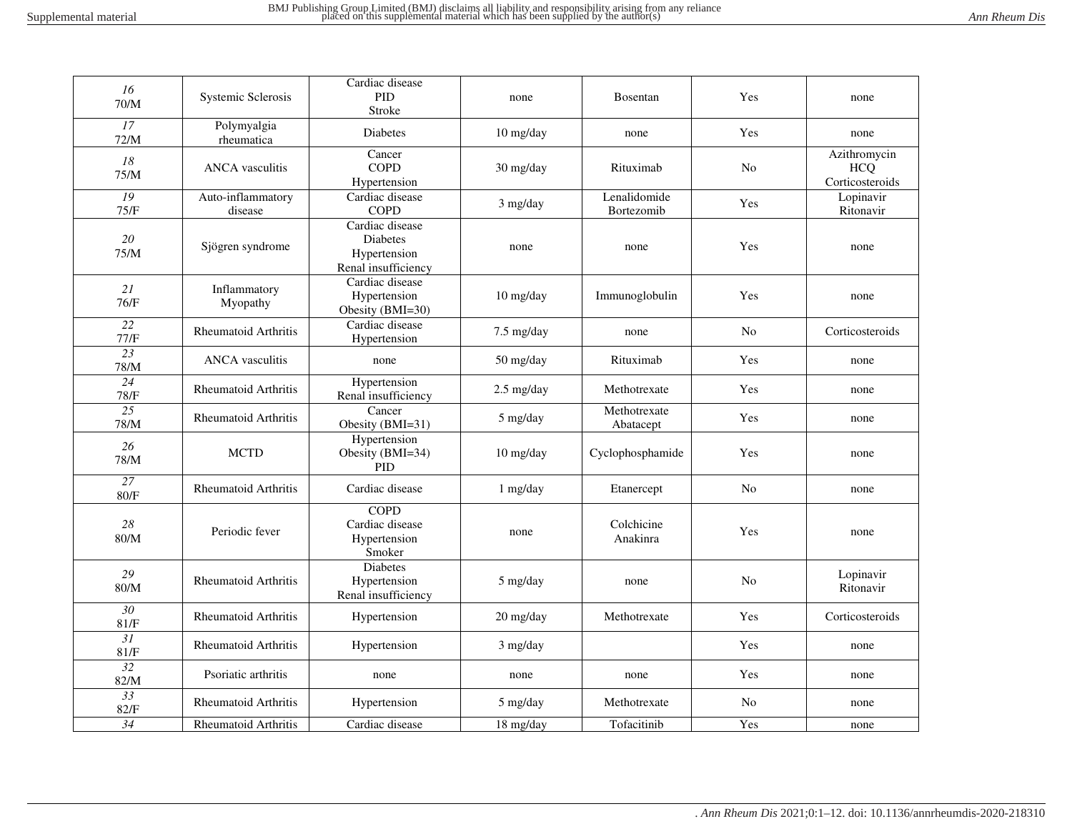| 16<br>$70/M$            | Systemic Sclerosis           | Cardiac disease<br>PID<br>Stroke                                          | none                              | <b>Bosentan</b>            | Yes            | none                                          |
|-------------------------|------------------------------|---------------------------------------------------------------------------|-----------------------------------|----------------------------|----------------|-----------------------------------------------|
| 17<br>72/M              | Polymyalgia<br>rheumatica    | <b>Diabetes</b>                                                           | 10 mg/day                         | none                       | Yes            | none                                          |
| $18\,$<br>75/M          | <b>ANCA</b> vasculitis       | Cancer<br><b>COPD</b><br>Hypertension                                     | 30 mg/day                         | Rituximab                  | No             | Azithromycin<br><b>HCQ</b><br>Corticosteroids |
| 19<br>75/F              | Auto-inflammatory<br>disease | Cardiac disease<br><b>COPD</b>                                            | 3 mg/day                          | Lenalidomide<br>Bortezomib | Yes            | Lopinavir<br>Ritonavir                        |
| 20<br>75/M              | Sjögren syndrome             | Cardiac disease<br><b>Diabetes</b><br>Hypertension<br>Renal insufficiency | none                              | none                       | Yes            | none                                          |
| 21<br>76/F              | Inflammatory<br>Myopathy     | Cardiac disease<br>Hypertension<br>Obesity (BMI=30)                       | 10 mg/day                         | Immunoglobulin             | Yes            | none                                          |
| 22<br>77/F              | <b>Rheumatoid Arthritis</b>  | Cardiac disease<br>Hypertension                                           | $7.5 \text{ mg/day}$              | none                       | No             | Corticosteroids                               |
| 23<br>78/M              | <b>ANCA</b> vasculitis       | none                                                                      | $50 \frac{\text{mg}}{\text{day}}$ | Rituximab                  | Yes            | none                                          |
| 24<br>78/F              | <b>Rheumatoid Arthritis</b>  | Hypertension<br>Renal insufficiency                                       | $2.5$ mg/day                      | Methotrexate               | Yes            | none                                          |
| 25<br>78/M              | <b>Rheumatoid Arthritis</b>  | Cancer<br>Obesity (BMI=31)                                                | 5 mg/day                          | Methotrexate<br>Abatacept  | Yes            | none                                          |
| 26<br>78/M              | <b>MCTD</b>                  | Hypertension<br>Obesity (BMI=34)<br><b>PID</b>                            | 10 mg/day                         | Cyclophosphamide           | Yes            | none                                          |
| 27<br>80/F              | <b>Rheumatoid Arthritis</b>  | Cardiac disease                                                           | 1 mg/day                          | Etanercept                 | N <sub>o</sub> | none                                          |
| 28<br>80/M              | Periodic fever               | <b>COPD</b><br>Cardiac disease<br>Hypertension<br>Smoker                  | none                              | Colchicine<br>Anakinra     | Yes            | none                                          |
| 29<br>$80/M$            | <b>Rheumatoid Arthritis</b>  | <b>Diabetes</b><br>Hypertension<br>Renal insufficiency                    | 5 mg/day                          | none                       | N <sub>0</sub> | Lopinavir<br>Ritonavir                        |
| $\overline{30}$<br>81/F | <b>Rheumatoid Arthritis</b>  | Hypertension                                                              | 20 mg/day                         | Methotrexate               | Yes            | Corticosteroids                               |
| 31<br>81/F              | <b>Rheumatoid Arthritis</b>  | Hypertension                                                              | $3$ mg/day                        |                            | Yes            | none                                          |
| $\overline{32}$<br>82/M | Psoriatic arthritis          | none                                                                      | none                              | none                       | Yes            | none                                          |
| $\overline{33}$<br>82/F | Rheumatoid Arthritis         | Hypertension                                                              | 5 mg/day                          | Methotrexate               | No             | none                                          |
| 34                      | Rheumatoid Arthritis         | Cardiac disease                                                           | 18 mg/day                         | Tofacitinib                | Yes            | none                                          |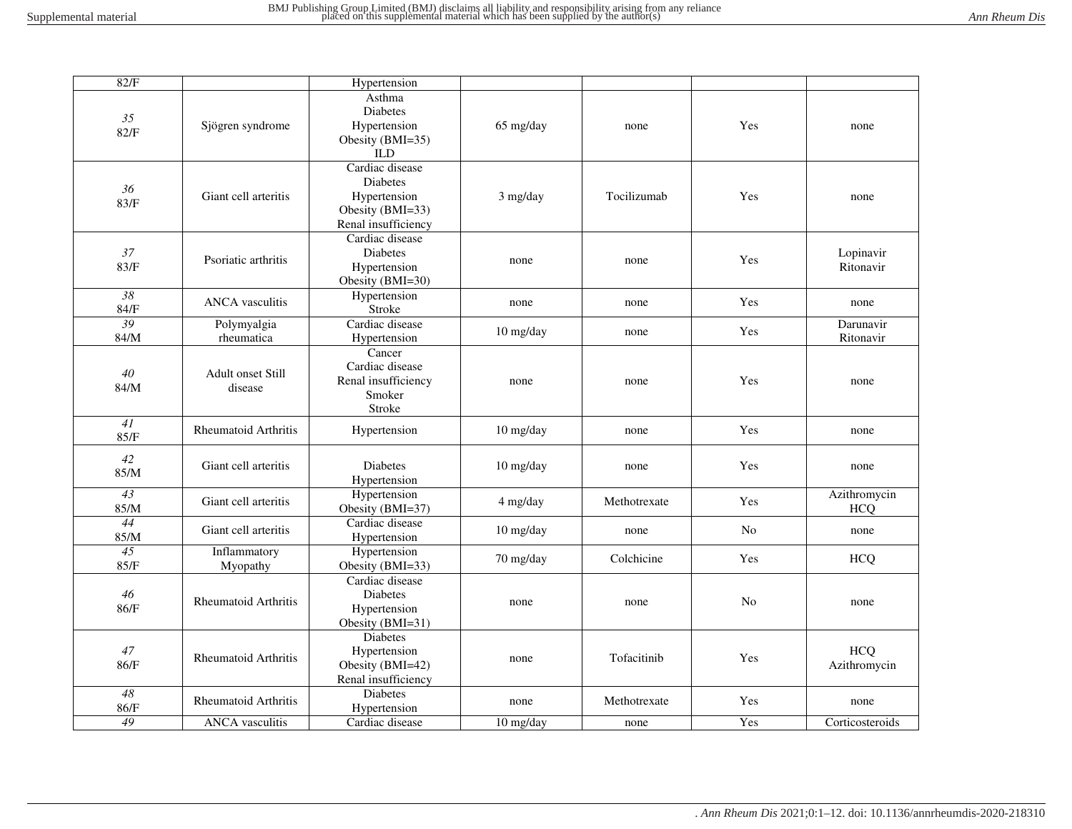| 82/F                    |                                     | Hypertension                                                                           |             |              |     |                            |
|-------------------------|-------------------------------------|----------------------------------------------------------------------------------------|-------------|--------------|-----|----------------------------|
| 35<br>82/F              | Sjögren syndrome                    | Asthma<br><b>Diabetes</b><br>Hypertension<br>Obesity (BMI=35)<br><b>ILD</b>            | 65 mg/day   | none         | Yes | none                       |
| 36<br>83/F              | Giant cell arteritis                | Cardiac disease<br>Diabetes<br>Hypertension<br>Obesity (BMI=33)<br>Renal insufficiency | 3 mg/day    | Tocilizumab  | Yes | none                       |
| 37<br>83/F              | Psoriatic arthritis                 | Cardiac disease<br><b>Diabetes</b><br>Hypertension<br>Obesity (BMI=30)                 | none        | none         | Yes | Lopinavir<br>Ritonavir     |
| $\overline{38}$<br>84/F | <b>ANCA</b> vasculitis              | Hypertension<br>Stroke                                                                 | none        | none         | Yes | none                       |
| 39<br>84/M              | Polymyalgia<br>rheumatica           | Cardiac disease<br>Hypertension                                                        | 10 mg/day   | none         | Yes | Darunavir<br>Ritonavir     |
| $40\,$<br>84/M          | <b>Adult onset Still</b><br>disease | Cancer<br>Cardiac disease<br>Renal insufficiency<br>Smoker<br>Stroke                   | none        | none         | Yes | none                       |
| 41<br>85/F              | <b>Rheumatoid Arthritis</b>         | Hypertension                                                                           | 10 mg/day   | none         | Yes | none                       |
| 42<br>85/M              | Giant cell arteritis                | <b>Diabetes</b><br>Hypertension                                                        | $10$ mg/day | none         | Yes | none                       |
| $\overline{43}$<br>85/M | Giant cell arteritis                | Hypertension<br>Obesity (BMI=37)                                                       | 4 mg/day    | Methotrexate | Yes | Azithromycin<br><b>HCQ</b> |
| 44<br>85/M              | Giant cell arteritis                | Cardiac disease<br>Hypertension                                                        | 10 mg/day   | none         | No  | none                       |
| 45<br>85/F              | Inflammatory<br>Myopathy            | Hypertension<br>Obesity (BMI=33)                                                       | 70 mg/day   | Colchicine   | Yes | <b>HCQ</b>                 |
| 46<br>86/F              | <b>Rheumatoid Arthritis</b>         | Cardiac disease<br><b>Diabetes</b><br>Hypertension<br>Obesity (BMI=31)                 | none        | none         | No  | none                       |
| 47<br>86/F              | Rheumatoid Arthritis                | <b>Diabetes</b><br>Hypertension<br>Obesity (BMI=42)<br>Renal insufficiency             | none        | Tofacitinib  | Yes | <b>HCQ</b><br>Azithromycin |
| 48<br>86/F              | <b>Rheumatoid Arthritis</b>         | <b>Diabetes</b><br>Hypertension                                                        | none        | Methotrexate | Yes | none                       |
| 49                      | ANCA vasculitis                     | Cardiac disease                                                                        | 10 mg/day   | none         | Yes | Corticosteroids            |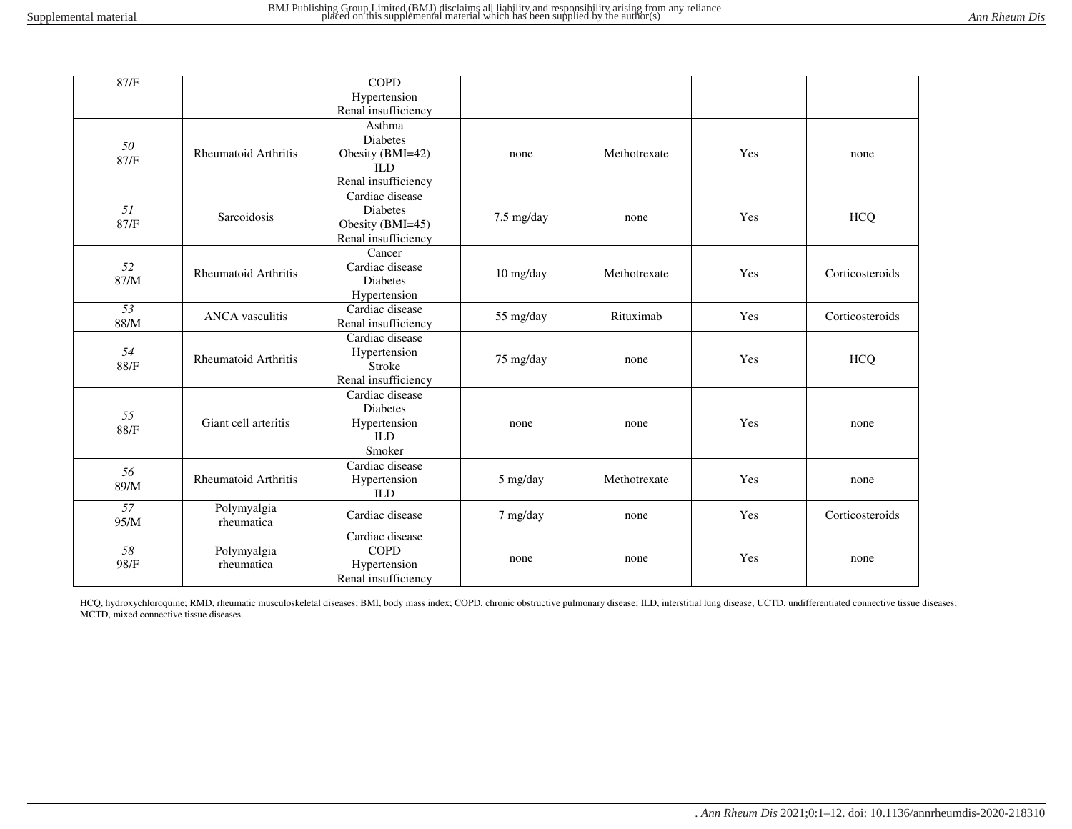| 87/F                    |                             | <b>COPD</b>                                                                        |            |              |     |                 |
|-------------------------|-----------------------------|------------------------------------------------------------------------------------|------------|--------------|-----|-----------------|
|                         |                             | Hypertension                                                                       |            |              |     |                 |
|                         |                             | Renal insufficiency                                                                |            |              |     |                 |
| 50<br>87/F              | <b>Rheumatoid Arthritis</b> | Asthma<br><b>Diabetes</b><br>Obesity (BMI=42)<br><b>ILD</b><br>Renal insufficiency | none       | Methotrexate | Yes | none            |
| 51<br>87/F              | Sarcoidosis                 | Cardiac disease<br><b>Diabetes</b><br>Obesity (BMI=45)<br>Renal insufficiency      | 7.5 mg/day | none         | Yes | <b>HCQ</b>      |
| 52<br>87/M              | <b>Rheumatoid Arthritis</b> | Cancer<br>Cardiac disease<br><b>Diabetes</b><br>Hypertension                       | 10 mg/day  | Methotrexate | Yes | Corticosteroids |
| $\overline{53}$<br>88/M | <b>ANCA</b> vasculitis      | Cardiac disease<br>Renal insufficiency                                             | 55 mg/day  | Rituximab    | Yes | Corticosteroids |
| 54<br>88/F              | <b>Rheumatoid Arthritis</b> | Cardiac disease<br>Hypertension<br>Stroke<br>Renal insufficiency                   | 75 mg/day  | none         | Yes | <b>HCQ</b>      |
| 55<br>88/F              | Giant cell arteritis        | Cardiac disease<br><b>Diabetes</b><br>Hypertension<br><b>ILD</b><br>Smoker         | none       | none         | Yes | none            |
| 56<br>89/M              | <b>Rheumatoid Arthritis</b> | Cardiac disease<br>Hypertension<br><b>ILD</b>                                      | 5 mg/day   | Methotrexate | Yes | none            |
| 57<br>95/M              | Polymyalgia<br>rheumatica   | Cardiac disease                                                                    | 7 mg/day   | none         | Yes | Corticosteroids |
| 58<br>98/F              | Polymyalgia<br>rheumatica   | Cardiac disease<br><b>COPD</b><br>Hypertension<br>Renal insufficiency              | none       | none         | Yes | none            |

HCQ, hydroxychloroquine; RMD, rheumatic musculoskeletal diseases; BMI, body mass index; COPD, chronic obstructive pulmonary disease; ILD, interstitial lung disease; UCTD, undifferentiated connective tissue diseases; MCTD, mixed connective tissue diseases.